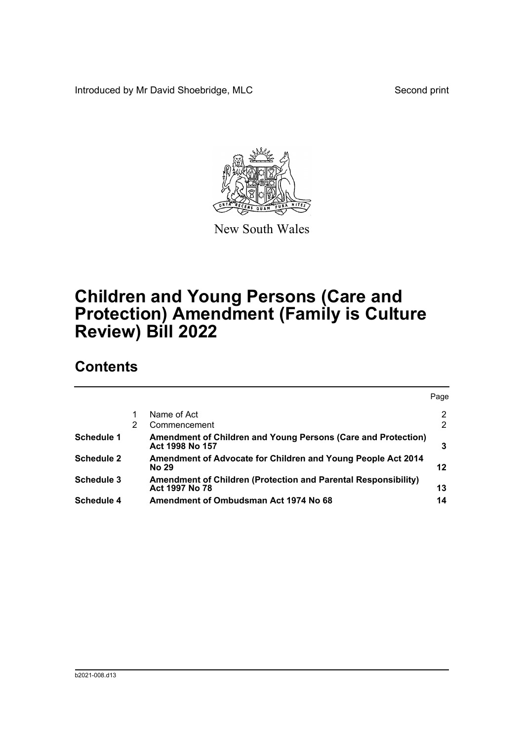Introduced by Mr David Shoebridge, MLC Second print



New South Wales

# **Children and Young Persons (Care and Protection) Amendment (Family is Culture Review) Bill 2022**

# **Contents**

|                   |   |                                                                                         | Page           |
|-------------------|---|-----------------------------------------------------------------------------------------|----------------|
|                   |   | Name of Act                                                                             | $\overline{2}$ |
|                   | 2 | Commencement                                                                            | 2              |
| Schedule 1        |   | Amendment of Children and Young Persons (Care and Protection)<br>Act 1998 No 157        | 3              |
| <b>Schedule 2</b> |   | Amendment of Advocate for Children and Young People Act 2014<br><b>No 29</b>            | 12             |
| Schedule 3        |   | <b>Amendment of Children (Protection and Parental Responsibility)</b><br>Act 1997 No 78 | 13             |
| Schedule 4        |   | Amendment of Ombudsman Act 1974 No 68                                                   | 14             |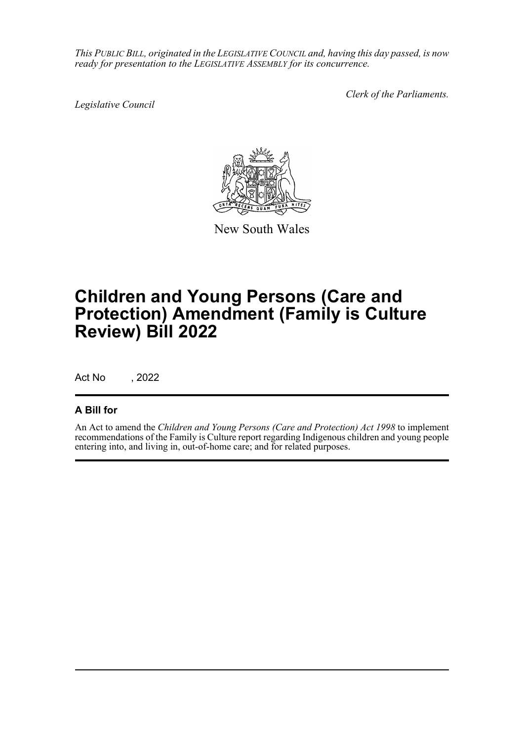*This PUBLIC BILL, originated in the LEGISLATIVE COUNCIL and, having this day passed, is now ready for presentation to the LEGISLATIVE ASSEMBLY for its concurrence.*

*Legislative Council*

*Clerk of the Parliaments.*



New South Wales

# **Children and Young Persons (Care and Protection) Amendment (Family is Culture Review) Bill 2022**

Act No , 2022

## **A Bill for**

An Act to amend the *Children and Young Persons (Care and Protection) Act 1998* to implement recommendations of the Family is Culture report regarding Indigenous children and young people entering into, and living in, out-of-home care; and for related purposes.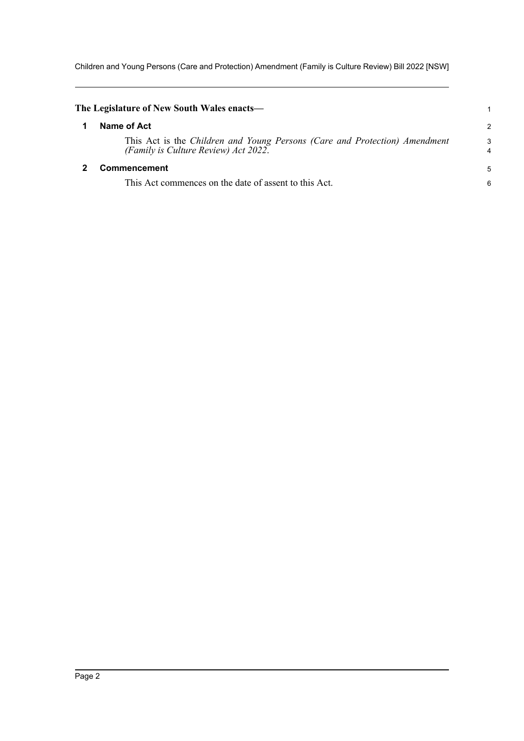Children and Young Persons (Care and Protection) Amendment (Family is Culture Review) Bill 2022 [NSW]

<span id="page-2-1"></span><span id="page-2-0"></span>

| The Legislature of New South Wales enacts—                                                                         |        |
|--------------------------------------------------------------------------------------------------------------------|--------|
| Name of Act                                                                                                        | 2      |
| This Act is the Children and Young Persons (Care and Protection) Amendment<br>(Family is Culture Review) Act 2022. | 3<br>4 |
| Commencement                                                                                                       | 5      |
| This Act commences on the date of assent to this Act.                                                              | 6      |
|                                                                                                                    |        |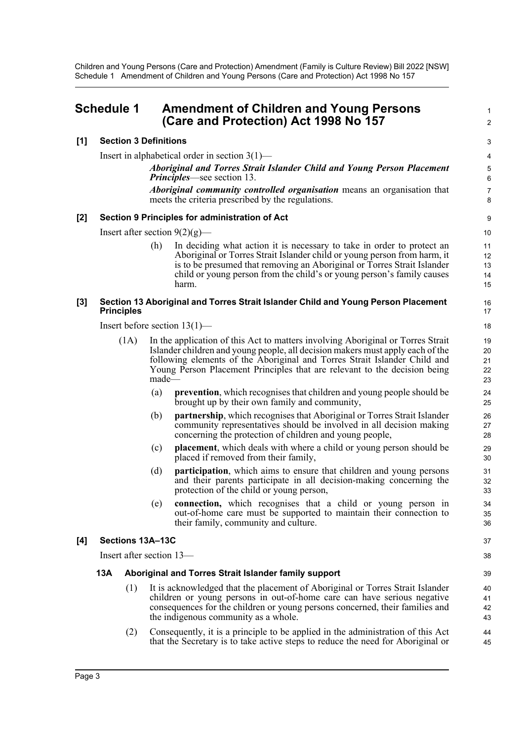# <span id="page-3-0"></span>**Schedule 1 Amendment of Children and Young Persons (Care and Protection) Act 1998 No 157**

#### **[1] Section 3 Definitions**

Insert in alphabetical order in section 3(1)—

*Aboriginal and Torres Strait Islander Child and Young Person Placement Principles*—see section 13.

1  $\mathfrak{p}$ 

37 38

*Aboriginal community controlled organisation* means an organisation that meets the criteria prescribed by the regulations.

#### **[2] Section 9 Principles for administration of Act**

Insert after section  $9(2)(g)$ —

(h) In deciding what action it is necessary to take in order to protect an Aboriginal or Torres Strait Islander child or young person from harm, it is to be presumed that removing an Aboriginal or Torres Strait Islander child or young person from the child's or young person's family causes harm.

#### **[3] Section 13 Aboriginal and Torres Strait Islander Child and Young Person Placement Principles**

Insert before section 13(1)—

- (1A) In the application of this Act to matters involving Aboriginal or Torres Strait Islander children and young people, all decision makers must apply each of the following elements of the Aboriginal and Torres Strait Islander Child and Young Person Placement Principles that are relevant to the decision being made—
	- (a) **prevention**, which recognises that children and young people should be brought up by their own family and community,
	- (b) **partnership**, which recognises that Aboriginal or Torres Strait Islander community representatives should be involved in all decision making concerning the protection of children and young people,
	- (c) **placement**, which deals with where a child or young person should be placed if removed from their family,
	- (d) **participation**, which aims to ensure that children and young persons and their parents participate in all decision-making concerning the protection of the child or young person,
	- (e) **connection,** which recognises that a child or young person in out-of-home care must be supported to maintain their connection to their family, community and culture.

#### **[4] Sections 13A–13C**

Insert after section 13—

#### **13A Aboriginal and Torres Strait Islander family support**

- (1) It is acknowledged that the placement of Aboriginal or Torres Strait Islander children or young persons in out-of-home care can have serious negative consequences for the children or young persons concerned, their families and the indigenous community as a whole.
- (2) Consequently, it is a principle to be applied in the administration of this Act that the Secretary is to take active steps to reduce the need for Aboriginal or 44 45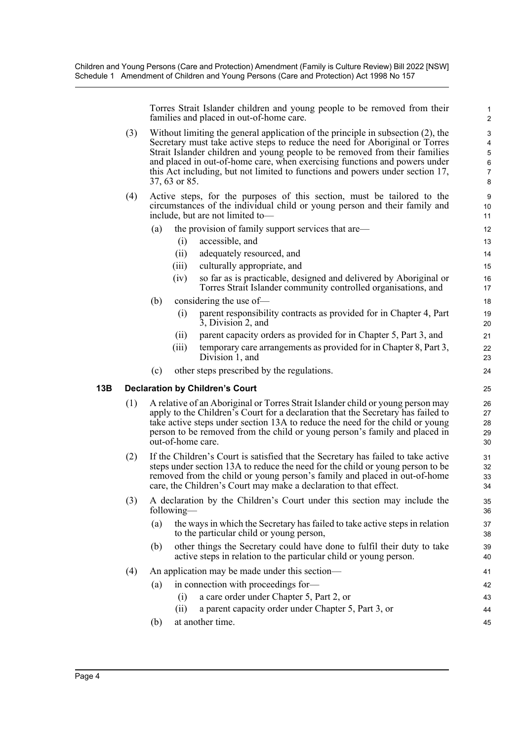Torres Strait Islander children and young people to be removed from their families and placed in out-of-home care.

44 45

- (3) Without limiting the general application of the principle in subsection (2), the Secretary must take active steps to reduce the need for Aboriginal or Torres Strait Islander children and young people to be removed from their families and placed in out-of-home care, when exercising functions and powers under this Act including, but not limited to functions and powers under section 17, 37, 63 or 85.
- (4) Active steps, for the purposes of this section, must be tailored to the circumstances of the individual child or young person and their family and include, but are not limited to—
	- (a) the provision of family support services that are—
		- (i) accessible, and
		- (ii) adequately resourced, and
		- (iii) culturally appropriate, and
		- (iv) so far as is practicable, designed and delivered by Aboriginal or Torres Strait Islander community controlled organisations, and
	- (b) considering the use of—
		- (i) parent responsibility contracts as provided for in Chapter 4, Part 3, Division 2, and
		- (ii) parent capacity orders as provided for in Chapter 5, Part 3, and
		- (iii) temporary care arrangements as provided for in Chapter 8, Part 3, Division 1, and
	- (c) other steps prescribed by the regulations.

### **13B Declaration by Children's Court**

- (1) A relative of an Aboriginal or Torres Strait Islander child or young person may apply to the Children's Court for a declaration that the Secretary has failed to take active steps under section 13A to reduce the need for the child or young person to be removed from the child or young person's family and placed in out-of-home care.
- (2) If the Children's Court is satisfied that the Secretary has failed to take active steps under section 13A to reduce the need for the child or young person to be removed from the child or young person's family and placed in out-of-home care, the Children's Court may make a declaration to that effect.
- (3) A declaration by the Children's Court under this section may include the following—
	- (a) the ways in which the Secretary has failed to take active steps in relation to the particular child or young person,
	- (b) other things the Secretary could have done to fulfil their duty to take active steps in relation to the particular child or young person.

### (4) An application may be made under this section—

- (a) in connection with proceedings for—
	- (i) a care order under Chapter 5, Part 2, or 43
	- (ii) a parent capacity order under Chapter 5, Part 3, or
- (b) at another time.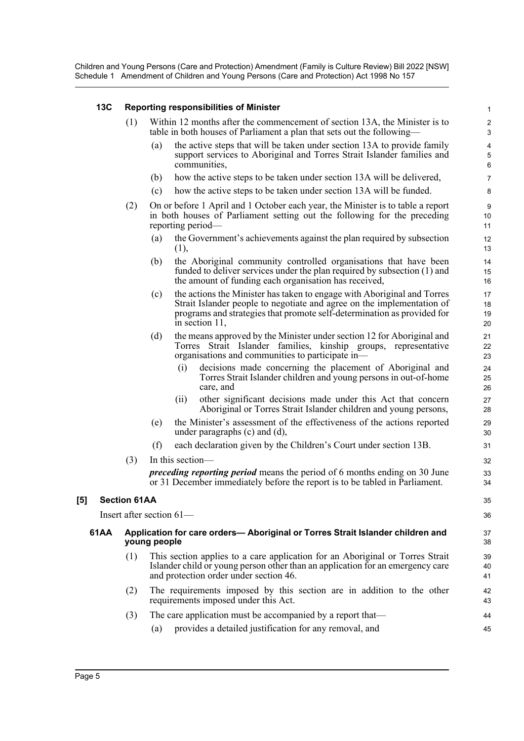### **13C Reporting responsibilities of Minister**

- (1) Within 12 months after the commencement of section 13A, the Minister is to table in both houses of Parliament a plan that sets out the following—
	- (a) the active steps that will be taken under section 13A to provide family support services to Aboriginal and Torres Strait Islander families and communities,

35 36

- (b) how the active steps to be taken under section 13A will be delivered,
- (c) how the active steps to be taken under section 13A will be funded.
- (2) On or before 1 April and 1 October each year, the Minister is to table a report in both houses of Parliament setting out the following for the preceding reporting period—
	- (a) the Government's achievements against the plan required by subsection (1),
	- (b) the Aboriginal community controlled organisations that have been funded to deliver services under the plan required by subsection (1) and the amount of funding each organisation has received,
	- (c) the actions the Minister has taken to engage with Aboriginal and Torres Strait Islander people to negotiate and agree on the implementation of programs and strategies that promote self-determination as provided for in section 11,
	- (d) the means approved by the Minister under section 12 for Aboriginal and Torres Strait Islander families, kinship groups, representative organisations and communities to participate in—
		- (i) decisions made concerning the placement of Aboriginal and Torres Strait Islander children and young persons in out-of-home care, and
		- (ii) other significant decisions made under this Act that concern Aboriginal or Torres Strait Islander children and young persons,
	- (e) the Minister's assessment of the effectiveness of the actions reported under paragraphs (c) and (d),
	- (f) each declaration given by the Children's Court under section 13B.
- (3) In this section *preceding reporting period* means the period of 6 months ending on 30 June or 31 December immediately before the report is to be tabled in Parliament.

#### **[5] Section 61AA**

Insert after section 61—

#### **61AA Application for care orders— Aboriginal or Torres Strait Islander children and young people**

- (1) This section applies to a care application for an Aboriginal or Torres Strait Islander child or young person other than an application for an emergency care and protection order under section 46.
- (2) The requirements imposed by this section are in addition to the other requirements imposed under this Act.
- (3) The care application must be accompanied by a report that— (a) provides a detailed justification for any removal, and 44 45
- Page 5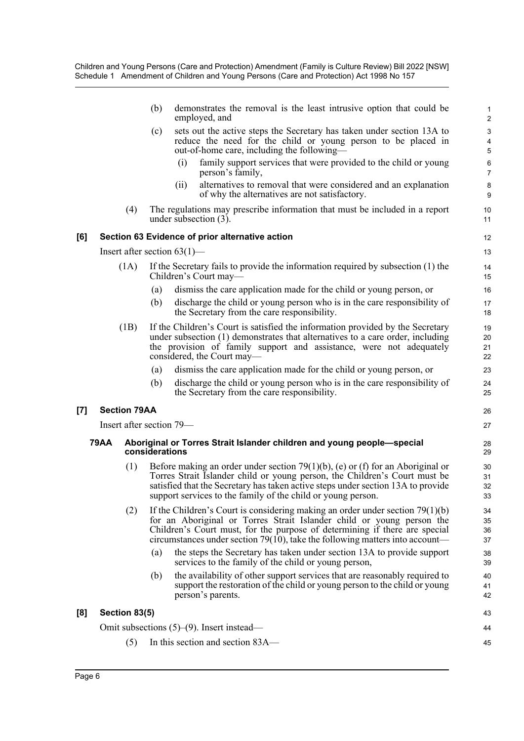|     |             |                     | (b)                                          |      | demonstrates the removal is the least intrusive option that could be<br>employed, and                                                                                                                                                                                                                                      | $\mathbf{1}$<br>$\overline{c}$ |  |
|-----|-------------|---------------------|----------------------------------------------|------|----------------------------------------------------------------------------------------------------------------------------------------------------------------------------------------------------------------------------------------------------------------------------------------------------------------------------|--------------------------------|--|
|     |             |                     | (c)                                          |      | sets out the active steps the Secretary has taken under section 13A to<br>reduce the need for the child or young person to be placed in<br>out-of-home care, including the following—                                                                                                                                      | 3<br>$\pmb{4}$<br>$\sqrt{5}$   |  |
|     |             |                     |                                              | (i)  | family support services that were provided to the child or young<br>person's family,                                                                                                                                                                                                                                       | 6<br>$\overline{7}$            |  |
|     |             |                     |                                              | (ii) | alternatives to removal that were considered and an explanation<br>of why the alternatives are not satisfactory.                                                                                                                                                                                                           | 8<br>9                         |  |
|     |             | (4)                 |                                              |      | The regulations may prescribe information that must be included in a report<br>under subsection (3).                                                                                                                                                                                                                       | 10<br>11                       |  |
| [6] |             |                     |                                              |      | Section 63 Evidence of prior alternative action                                                                                                                                                                                                                                                                            | 12                             |  |
|     |             |                     | Insert after section $63(1)$ —               |      |                                                                                                                                                                                                                                                                                                                            | 13                             |  |
|     |             | (1A)                |                                              |      | If the Secretary fails to provide the information required by subsection $(1)$ the<br>Children's Court may—                                                                                                                                                                                                                | 14<br>15                       |  |
|     |             |                     | (a)                                          |      | dismiss the care application made for the child or young person, or                                                                                                                                                                                                                                                        | 16                             |  |
|     |             |                     | (b)                                          |      | discharge the child or young person who is in the care responsibility of<br>the Secretary from the care responsibility.                                                                                                                                                                                                    | 17<br>18                       |  |
|     |             | (1B)                |                                              |      | If the Children's Court is satisfied the information provided by the Secretary<br>under subsection (1) demonstrates that alternatives to a care order, including<br>the provision of family support and assistance, were not adequately<br>considered, the Court may—                                                      | 19<br>20<br>21<br>22           |  |
|     |             |                     | (a)                                          |      | dismiss the care application made for the child or young person, or                                                                                                                                                                                                                                                        | 23                             |  |
|     |             |                     | (b)                                          |      | discharge the child or young person who is in the care responsibility of<br>the Secretary from the care responsibility.                                                                                                                                                                                                    | 24<br>25                       |  |
| [7] |             | <b>Section 79AA</b> |                                              |      |                                                                                                                                                                                                                                                                                                                            | 26                             |  |
|     |             |                     | Insert after section 79—                     |      |                                                                                                                                                                                                                                                                                                                            | 27                             |  |
|     | <b>79AA</b> |                     | considerations                               |      | Aboriginal or Torres Strait Islander children and young people-special                                                                                                                                                                                                                                                     | 28<br>29                       |  |
|     |             | (1)                 |                                              |      | Before making an order under section 79(1)(b), (e) or (f) for an Aboriginal or<br>Torres Strait Islander child or young person, the Children's Court must be<br>satisfied that the Secretary has taken active steps under section 13A to provide<br>support services to the family of the child or young person.           | 30<br>31<br>32<br>33           |  |
|     |             | (2)                 |                                              |      | If the Children's Court is considering making an order under section $79(1)(b)$<br>for an Aboriginal or Torres Strait Islander child or young person the<br>Children's Court must, for the purpose of determining if there are special<br>circumstances under section 79( $10$ ), take the following matters into account— | 34<br>35<br>36<br>37           |  |
|     |             |                     | (a)                                          |      | the steps the Secretary has taken under section 13A to provide support<br>services to the family of the child or young person,                                                                                                                                                                                             | 38<br>39                       |  |
|     |             |                     | (b)                                          |      | the availability of other support services that are reasonably required to<br>support the restoration of the child or young person to the child or young<br>person's parents.                                                                                                                                              | 40<br>41<br>42                 |  |
| [8] |             | Section 83(5)       |                                              |      |                                                                                                                                                                                                                                                                                                                            | 43                             |  |
|     |             |                     | Omit subsections $(5)-(9)$ . Insert instead— |      |                                                                                                                                                                                                                                                                                                                            |                                |  |
|     |             | (5)                 |                                              |      | In this section and section 83A—                                                                                                                                                                                                                                                                                           | 45                             |  |
|     |             |                     |                                              |      |                                                                                                                                                                                                                                                                                                                            |                                |  |

**[8]** 

**[7]**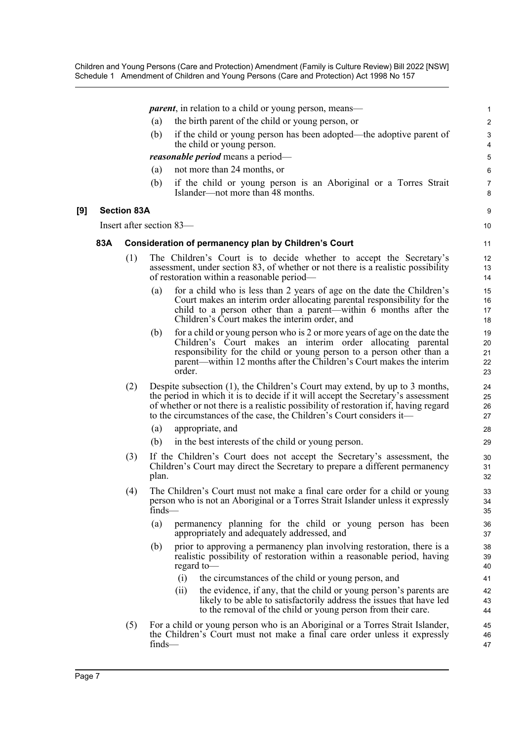*parent*, in relation to a child or young person, means—

- (a) the birth parent of the child or young person, or
- (b) if the child or young person has been adopted—the adoptive parent of the child or young person.

 $\alpha$ 10

*reasonable period* means a period—

- (a) not more than 24 months, or
- (b) if the child or young person is an Aboriginal or a Torres Strait Islander—not more than 48 months.

#### **[9] Section 83A**

Insert after section 83—

#### **83A Consideration of permanency plan by Children's Court**

- (1) The Children's Court is to decide whether to accept the Secretary's assessment, under section 83, of whether or not there is a realistic possibility of restoration within a reasonable period—
	- (a) for a child who is less than 2 years of age on the date the Children's Court makes an interim order allocating parental responsibility for the child to a person other than a parent—within 6 months after the Children's Court makes the interim order, and
	- (b) for a child or young person who is 2 or more years of age on the date the Children's Court makes an interim order allocating parental responsibility for the child or young person to a person other than a parent—within 12 months after the Children's Court makes the interim order.
- (2) Despite subsection (1), the Children's Court may extend, by up to 3 months, the period in which it is to decide if it will accept the Secretary's assessment of whether or not there is a realistic possibility of restoration if, having regard to the circumstances of the case, the Children's Court considers it—
	- (a) appropriate, and
	- (b) in the best interests of the child or young person.
- (3) If the Children's Court does not accept the Secretary's assessment, the Children's Court may direct the Secretary to prepare a different permanency plan.
- (4) The Children's Court must not make a final care order for a child or young person who is not an Aboriginal or a Torres Strait Islander unless it expressly finds—
	- (a) permanency planning for the child or young person has been appropriately and adequately addressed, and
	- (b) prior to approving a permanency plan involving restoration, there is a realistic possibility of restoration within a reasonable period, having regard to—
		- (i) the circumstances of the child or young person, and
		- (ii) the evidence, if any, that the child or young person's parents are likely to be able to satisfactorily address the issues that have led to the removal of the child or young person from their care.
- (5) For a child or young person who is an Aboriginal or a Torres Strait Islander, the Children's Court must not make a final care order unless it expressly finds—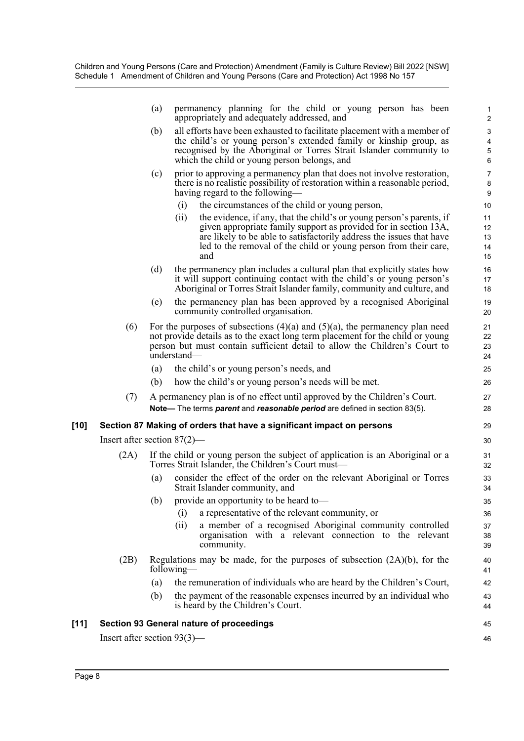|        |                                | (a)                                                                                                                                                                                                                                                             | permanency planning for the child or young person has been<br>appropriately and adequately addressed, and                                                                                                                                                                                           | $\mathbf{1}$<br>$\overline{c}$      |  |  |  |
|--------|--------------------------------|-----------------------------------------------------------------------------------------------------------------------------------------------------------------------------------------------------------------------------------------------------------------|-----------------------------------------------------------------------------------------------------------------------------------------------------------------------------------------------------------------------------------------------------------------------------------------------------|-------------------------------------|--|--|--|
|        |                                | (b)                                                                                                                                                                                                                                                             | all efforts have been exhausted to facilitate placement with a member of<br>the child's or young person's extended family or kinship group, as<br>recognised by the Aboriginal or Torres Strait Islander community to<br>which the child or young person belongs, and                               | $\sqrt{3}$<br>4<br>$\mathbf 5$<br>6 |  |  |  |
|        |                                | (c)                                                                                                                                                                                                                                                             | prior to approving a permanency plan that does not involve restoration,<br>there is no realistic possibility of restoration within a reasonable period,<br>having regard to the following-                                                                                                          | $\overline{7}$<br>8<br>9            |  |  |  |
|        |                                |                                                                                                                                                                                                                                                                 | the circumstances of the child or young person,<br>(i)                                                                                                                                                                                                                                              | 10                                  |  |  |  |
|        |                                |                                                                                                                                                                                                                                                                 | (ii)<br>the evidence, if any, that the child's or young person's parents, if<br>given appropriate family support as provided for in section 13A,<br>are likely to be able to satisfactorily address the issues that have<br>led to the removal of the child or young person from their care,<br>and | 11<br>12<br>13<br>14<br>15          |  |  |  |
|        |                                | (d)                                                                                                                                                                                                                                                             | the permanency plan includes a cultural plan that explicitly states how<br>it will support continuing contact with the child's or young person's<br>Aboriginal or Torres Strait Islander family, community and culture, and                                                                         | 16<br>17<br>18                      |  |  |  |
|        |                                | (e)                                                                                                                                                                                                                                                             | the permanency plan has been approved by a recognised Aboriginal<br>community controlled organisation.                                                                                                                                                                                              | 19<br>20                            |  |  |  |
|        | (6)                            | For the purposes of subsections $(4)(a)$ and $(5)(a)$ , the permanency plan need<br>not provide details as to the exact long term placement for the child or young<br>person but must contain sufficient detail to allow the Children's Court to<br>understand- |                                                                                                                                                                                                                                                                                                     |                                     |  |  |  |
|        |                                | (a)                                                                                                                                                                                                                                                             | the child's or young person's needs, and                                                                                                                                                                                                                                                            | 25                                  |  |  |  |
|        |                                | (b)                                                                                                                                                                                                                                                             | how the child's or young person's needs will be met.                                                                                                                                                                                                                                                | 26                                  |  |  |  |
|        | (7)                            |                                                                                                                                                                                                                                                                 | A permanency plan is of no effect until approved by the Children's Court.<br>Note— The terms parent and reasonable period are defined in section 83(5).                                                                                                                                             | 27<br>28                            |  |  |  |
| $[10]$ |                                |                                                                                                                                                                                                                                                                 | Section 87 Making of orders that have a significant impact on persons                                                                                                                                                                                                                               | 29                                  |  |  |  |
|        | Insert after section $87(2)$ — |                                                                                                                                                                                                                                                                 |                                                                                                                                                                                                                                                                                                     |                                     |  |  |  |
|        | (2A)                           |                                                                                                                                                                                                                                                                 | If the child or young person the subject of application is an Aboriginal or a<br>Torres Strait Islander, the Children's Court must—                                                                                                                                                                 | 31<br>32                            |  |  |  |
|        |                                | (a)                                                                                                                                                                                                                                                             | consider the effect of the order on the relevant Aboriginal or Torres<br>Strait Islander community, and                                                                                                                                                                                             | 33<br>34                            |  |  |  |
|        |                                | (b)                                                                                                                                                                                                                                                             | provide an opportunity to be heard to-                                                                                                                                                                                                                                                              | 35                                  |  |  |  |
|        |                                |                                                                                                                                                                                                                                                                 | a representative of the relevant community, or<br>(i)                                                                                                                                                                                                                                               | 36                                  |  |  |  |
|        |                                |                                                                                                                                                                                                                                                                 | a member of a recognised Aboriginal community controlled<br>(ii)<br>organisation with a relevant connection to the relevant<br>community.                                                                                                                                                           | 37<br>38<br>39                      |  |  |  |
|        | (2B)                           |                                                                                                                                                                                                                                                                 | Regulations may be made, for the purposes of subsection $(2A)(b)$ , for the<br>following—                                                                                                                                                                                                           | 40<br>41                            |  |  |  |
|        |                                | (a)                                                                                                                                                                                                                                                             | the remuneration of individuals who are heard by the Children's Court,                                                                                                                                                                                                                              | 42                                  |  |  |  |
|        |                                | (b)                                                                                                                                                                                                                                                             | the payment of the reasonable expenses incurred by an individual who<br>is heard by the Children's Court.                                                                                                                                                                                           | 43<br>44                            |  |  |  |
| $[11]$ |                                |                                                                                                                                                                                                                                                                 | Section 93 General nature of proceedings                                                                                                                                                                                                                                                            | 45                                  |  |  |  |
|        | Insert after section $93(3)$ — |                                                                                                                                                                                                                                                                 |                                                                                                                                                                                                                                                                                                     | 46                                  |  |  |  |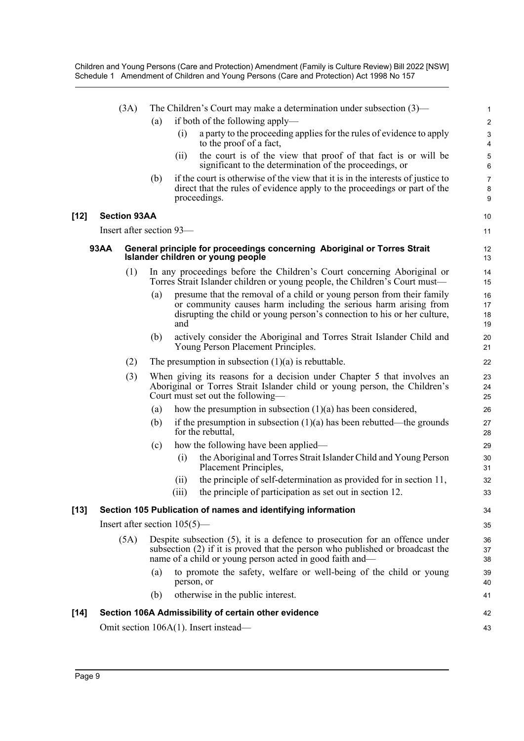|        | The Children's Court may make a determination under subsection $(3)$ —<br>(3A) |                          |                                                                                                                                                                                                                             |            |                                                                                                                                                                                                                       | 1                        |  |  |
|--------|--------------------------------------------------------------------------------|--------------------------|-----------------------------------------------------------------------------------------------------------------------------------------------------------------------------------------------------------------------------|------------|-----------------------------------------------------------------------------------------------------------------------------------------------------------------------------------------------------------------------|--------------------------|--|--|
|        |                                                                                |                          | (a)                                                                                                                                                                                                                         |            | if both of the following apply—                                                                                                                                                                                       | $\overline{c}$           |  |  |
|        |                                                                                |                          |                                                                                                                                                                                                                             | (i)        | a party to the proceeding applies for the rules of evidence to apply<br>to the proof of a fact,                                                                                                                       | 3<br>4                   |  |  |
|        |                                                                                |                          |                                                                                                                                                                                                                             | (i)        | the court is of the view that proof of that fact is or will be<br>significant to the determination of the proceedings, or                                                                                             | 5<br>6                   |  |  |
|        |                                                                                |                          | (b)                                                                                                                                                                                                                         |            | if the court is otherwise of the view that it is in the interests of justice to<br>direct that the rules of evidence apply to the proceedings or part of the<br>proceedings.                                          | $\overline{7}$<br>8<br>9 |  |  |
| [12]   |                                                                                | <b>Section 93AA</b>      |                                                                                                                                                                                                                             |            |                                                                                                                                                                                                                       | 10                       |  |  |
|        |                                                                                | Insert after section 93- |                                                                                                                                                                                                                             |            |                                                                                                                                                                                                                       | 11                       |  |  |
|        | 93AA                                                                           |                          |                                                                                                                                                                                                                             |            | General principle for proceedings concerning Aboriginal or Torres Strait<br>Islander children or young people                                                                                                         | 12<br>13                 |  |  |
|        |                                                                                | (1)                      |                                                                                                                                                                                                                             |            | In any proceedings before the Children's Court concerning Aboriginal or<br>Torres Strait Islander children or young people, the Children's Court must—                                                                | 14<br>15                 |  |  |
|        |                                                                                |                          | (a)                                                                                                                                                                                                                         | and        | presume that the removal of a child or young person from their family<br>or community causes harm including the serious harm arising from<br>disrupting the child or young person's connection to his or her culture, | 16<br>17<br>18<br>19     |  |  |
|        |                                                                                |                          | (b)                                                                                                                                                                                                                         |            | actively consider the Aboriginal and Torres Strait Islander Child and<br>Young Person Placement Principles.                                                                                                           | 20<br>21                 |  |  |
|        |                                                                                | (2)                      |                                                                                                                                                                                                                             |            | The presumption in subsection $(1)(a)$ is rebuttable.                                                                                                                                                                 | 22                       |  |  |
|        |                                                                                | (3)                      |                                                                                                                                                                                                                             |            | When giving its reasons for a decision under Chapter 5 that involves an<br>Aboriginal or Torres Strait Islander child or young person, the Children's<br>Court must set out the following—                            | 23<br>24<br>25           |  |  |
|        |                                                                                |                          | (a)                                                                                                                                                                                                                         |            | how the presumption in subsection $(1)(a)$ has been considered,                                                                                                                                                       | 26                       |  |  |
|        |                                                                                |                          | (b)                                                                                                                                                                                                                         |            | if the presumption in subsection $(1)(a)$ has been rebutted—the grounds<br>for the rebuttal,                                                                                                                          | 27<br>28                 |  |  |
|        |                                                                                |                          | (c)                                                                                                                                                                                                                         |            | how the following have been applied—                                                                                                                                                                                  | 29                       |  |  |
|        |                                                                                |                          |                                                                                                                                                                                                                             | (i)        | the Aboriginal and Torres Strait Islander Child and Young Person<br>Placement Principles,                                                                                                                             | 30<br>31                 |  |  |
|        |                                                                                |                          |                                                                                                                                                                                                                             | (11)       | the principle of self-determination as provided for in section 11,                                                                                                                                                    | 32                       |  |  |
|        |                                                                                |                          |                                                                                                                                                                                                                             |            | (iii) the principle of participation as set out in section 12.                                                                                                                                                        | 33                       |  |  |
| [13]   |                                                                                |                          |                                                                                                                                                                                                                             |            | Section 105 Publication of names and identifying information                                                                                                                                                          | 34                       |  |  |
|        | Insert after section $105(5)$ —                                                |                          |                                                                                                                                                                                                                             |            |                                                                                                                                                                                                                       |                          |  |  |
|        |                                                                                | (5A)                     | Despite subsection $(5)$ , it is a defence to prosecution for an offence under<br>subsection (2) if it is proved that the person who published or broadcast the<br>name of a child or young person acted in good faith and— |            |                                                                                                                                                                                                                       |                          |  |  |
|        |                                                                                |                          | (a)                                                                                                                                                                                                                         | person, or | to promote the safety, welfare or well-being of the child or young                                                                                                                                                    | 39<br>40                 |  |  |
|        |                                                                                |                          | (b)                                                                                                                                                                                                                         |            | otherwise in the public interest.                                                                                                                                                                                     | 41                       |  |  |
| $[14]$ |                                                                                |                          |                                                                                                                                                                                                                             |            | Section 106A Admissibility of certain other evidence                                                                                                                                                                  | 42                       |  |  |
|        |                                                                                |                          |                                                                                                                                                                                                                             |            | Omit section 106A(1). Insert instead—                                                                                                                                                                                 | 43                       |  |  |
|        |                                                                                |                          |                                                                                                                                                                                                                             |            |                                                                                                                                                                                                                       |                          |  |  |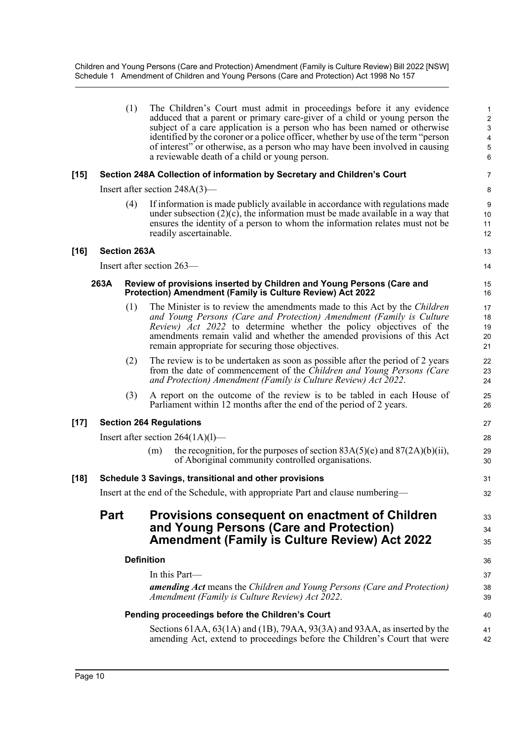(1) The Children's Court must admit in proceedings before it any evidence adduced that a parent or primary care-giver of a child or young person the subject of a care application is a person who has been named or otherwise identified by the coroner or a police officer, whether by use of the term "person of interest" or otherwise, as a person who may have been involved in causing a reviewable death of a child or young person. **[15] Section 248A Collection of information by Secretary and Children's Court** Insert after section 248A(3)— (4) If information is made publicly available in accordance with regulations made under subsection  $(2)(c)$ , the information must be made available in a way that ensures the identity of a person to whom the information relates must not be readily ascertainable. **[16] Section 263A** Insert after section 263— **263A Review of provisions inserted by Children and Young Persons (Care and Protection) Amendment (Family is Culture Review) Act 2022** (1) The Minister is to review the amendments made to this Act by the *Children and Young Persons (Care and Protection) Amendment (Family is Culture Review) Act 2022* to determine whether the policy objectives of the amendments remain valid and whether the amended provisions of this Act remain appropriate for securing those objectives. (2) The review is to be undertaken as soon as possible after the period of 2 years from the date of commencement of the *Children and Young Persons (Care and Protection) Amendment (Family is Culture Review) Act 2022*. (3) A report on the outcome of the review is to be tabled in each House of Parliament within 12 months after the end of the period of 2 years. **[17] Section 264 Regulations** Insert after section 264(1A)(l)— (m) the recognition, for the purposes of section  $83A(5)(e)$  and  $87(2A)(b)(ii)$ , of Aboriginal community controlled organisations. **[18] Schedule 3 Savings, transitional and other provisions** Insert at the end of the Schedule, with appropriate Part and clause numbering— **Part Provisions consequent on enactment of Children and Young Persons (Care and Protection) Amendment (Family is Culture Review) Act 2022 Definition** In this Part *amending Act* means the *Children and Young Persons (Care and Protection) Amendment (Family is Culture Review) Act 2022*. **Pending proceedings before the Children's Court**  1 2 3 4 5 6 7 8 9 10 11 12 13 14 15 16 17 18 19 20 21 22 23 24 25 26 27 28 29  $30$ 31 32 33 34 35 36 37 38 39 40

Sections 61AA, 63(1A) and (1B), 79AA, 93(3A) and 93AA, as inserted by the amending Act, extend to proceedings before the Children's Court that were 41 42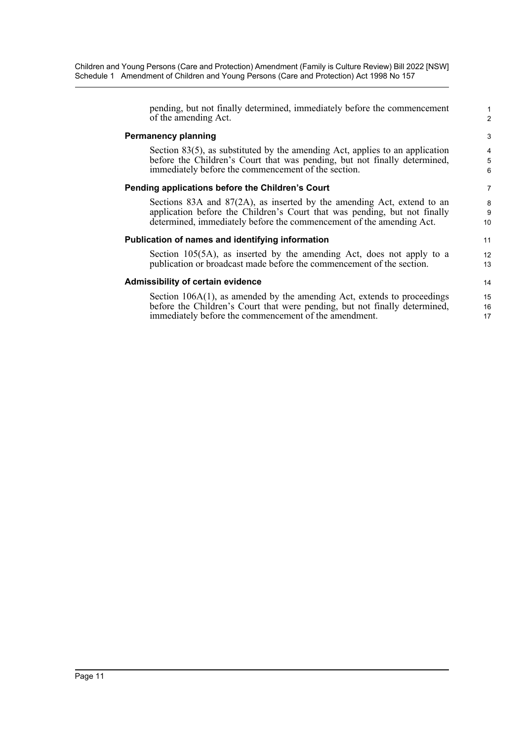| pending, but not finally determined, immediately before the commencement        | $\mathbf{1}$   |
|---------------------------------------------------------------------------------|----------------|
| of the amending Act.                                                            | $\overline{2}$ |
| <b>Permanency planning</b>                                                      | 3              |
| Section $83(5)$ , as substituted by the amending Act, applies to an application | $\overline{4}$ |
| before the Children's Court that was pending, but not finally determined,       | $\overline{5}$ |
| immediately before the commencement of the section.                             | 6              |
| Pending applications before the Children's Court                                | 7              |
| Sections $83A$ and $87(2A)$ , as inserted by the amending Act, extend to an     | 8              |
| application before the Children's Court that was pending, but not finally       | $9\,$          |
| determined, immediately before the commencement of the amending Act.            | 10             |
| Publication of names and identifying information                                | 11             |
| Section $105(5A)$ , as inserted by the amending Act, does not apply to a        | 12             |
| publication or broadcast made before the commencement of the section.           | 13             |
| <b>Admissibility of certain evidence</b>                                        | 14             |
| Section $106A(1)$ , as amended by the amending Act, extends to proceedings      | 15             |
| before the Children's Court that were pending, but not finally determined,      | 16             |
| immediately before the commencement of the amendment.                           | 17             |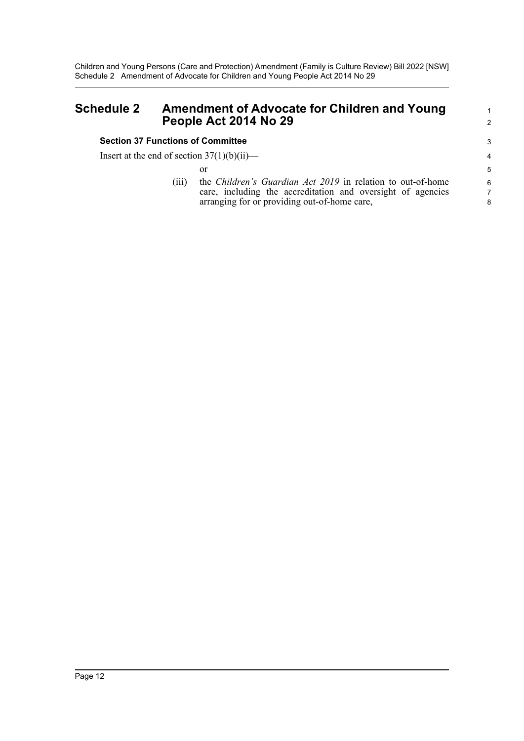# <span id="page-12-0"></span>**Schedule 2 Amendment of Advocate for Children and Young People Act 2014 No 29**

## **Section 37 Functions of Committee**

Page 12

Insert at the end of section  $37(1)(b)(ii)$ —

or

(iii) the *Children's Guardian Act 2019* in relation to out-of-home care, including the accreditation and oversight of agencies arranging for or providing out-of-home care,

1 2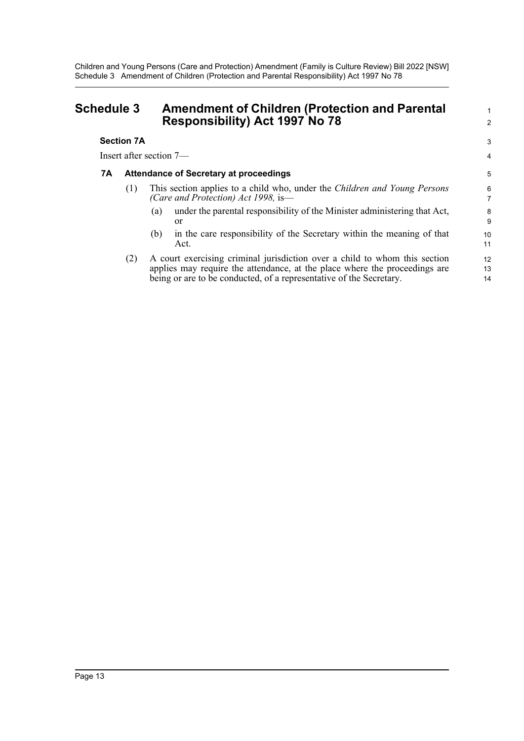# <span id="page-13-0"></span>**Schedule 3 Amendment of Children (Protection and Parental Responsibility) Act 1997 No 78**

## **Section 7A**

Insert after section 7—

## **7A Attendance of Secretary at proceedings**

- (1) This section applies to a child who, under the *Children and Young Persons (Care and Protection) Act 1998,* is—
	- (a) under the parental responsibility of the Minister administering that Act, or

1 2

3 4

- (b) in the care responsibility of the Secretary within the meaning of that Act.
- (2) A court exercising criminal jurisdiction over a child to whom this section applies may require the attendance, at the place where the proceedings are being or are to be conducted, of a representative of the Secretary.